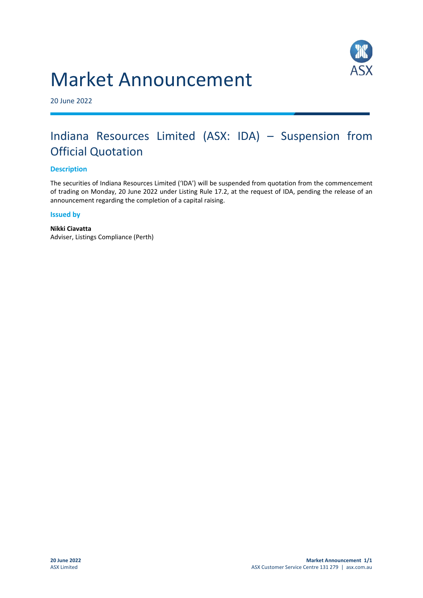# Market Announcement



20 June 2022

## Indiana Resources Limited (ASX: IDA) – Suspension from Official Quotation

#### **Description**

The securities of Indiana Resources Limited ('IDA') will be suspended from quotation from the commencement of trading on Monday, 20 June 2022 under Listing Rule 17.2, at the request of IDA, pending the release of an announcement regarding the completion of a capital raising.

#### **Issued by**

**Nikki Ciavatta** Adviser, Listings Compliance (Perth)